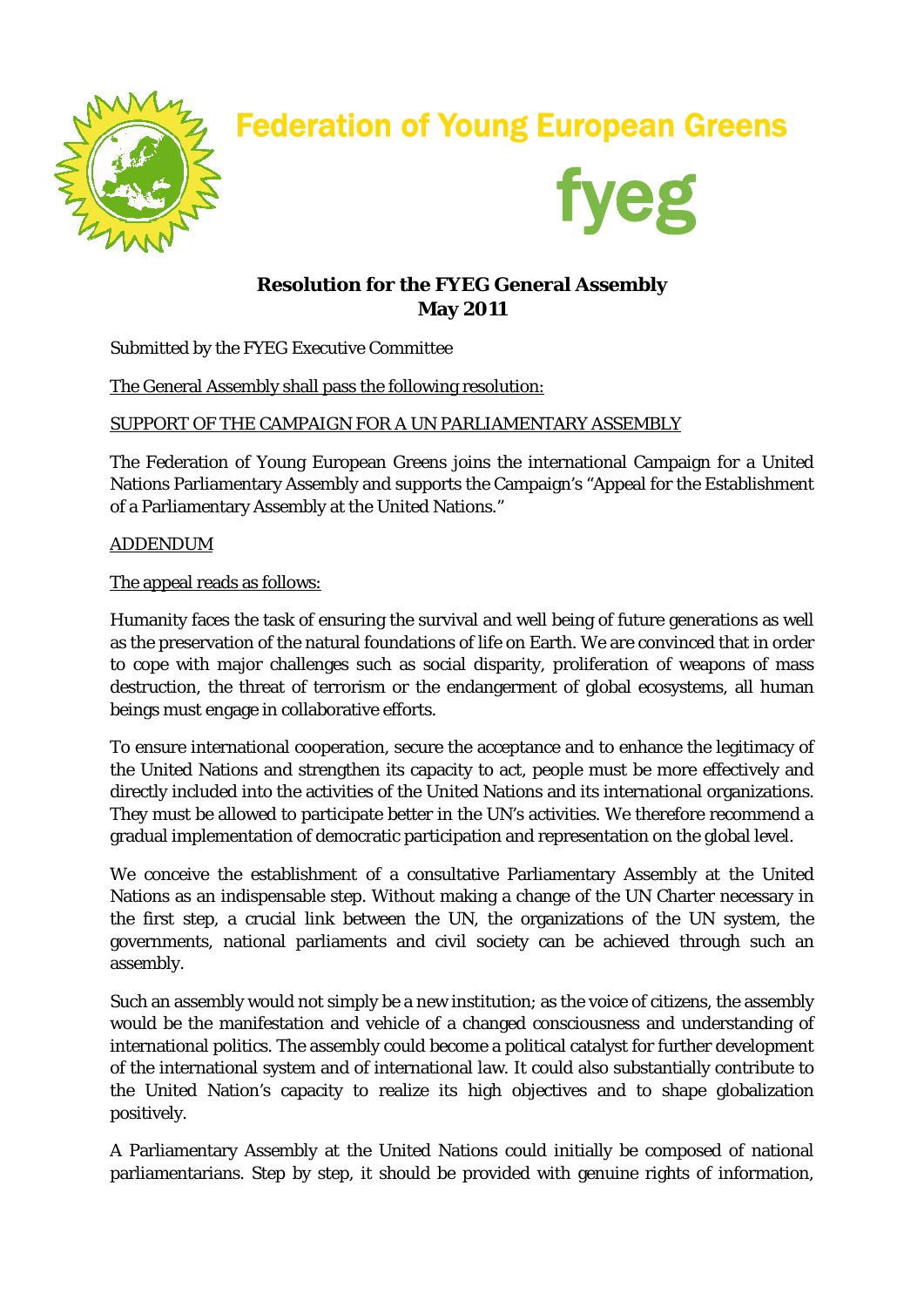

# Federation of Young European Greens



## **Resolution for the FYEG General Assembly May 2011**

Submitted by the FYEG Executive Committee

The General Assembly shall pass the following resolution:

### SUPPORT OF THE CAMPAIGN FOR A UN PARLIAMENTARY ASSEMBLY

The Federation of Young European Greens joins the international Campaign for a United Nations Parliamentary Assembly and supports the Campaign's "Appeal for the Establishment of a Parliamentary Assembly at the United Nations."

#### ADDENDUM

The appeal reads as follows:

Humanity faces the task of ensuring the survival and well being of future generations as well as the preservation of the natural foundations of life on Earth. We are convinced that in order to cope with major challenges such as social disparity, proliferation of weapons of mass destruction, the threat of terrorism or the endangerment of global ecosystems, all human beings must engage in collaborative efforts.

To ensure international cooperation, secure the acceptance and to enhance the legitimacy of the United Nations and strengthen its capacity to act, people must be more effectively and directly included into the activities of the United Nations and its international organizations. They must be allowed to participate better in the UN's activities. We therefore recommend a gradual implementation of democratic participation and representation on the global level.

We conceive the establishment of a consultative Parliamentary Assembly at the United Nations as an indispensable step. Without making a change of the UN Charter necessary in the first step, a crucial link between the UN, the organizations of the UN system, the governments, national parliaments and civil society can be achieved through such an assembly.

Such an assembly would not simply be a new institution; as the voice of citizens, the assembly would be the manifestation and vehicle of a changed consciousness and understanding of international politics. The assembly could become a political catalyst for further development of the international system and of international law. It could also substantially contribute to the United Nation's capacity to realize its high objectives and to shape globalization positively.

A Parliamentary Assembly at the United Nations could initially be composed of national parliamentarians. Step by step, it should be provided with genuine rights of information,